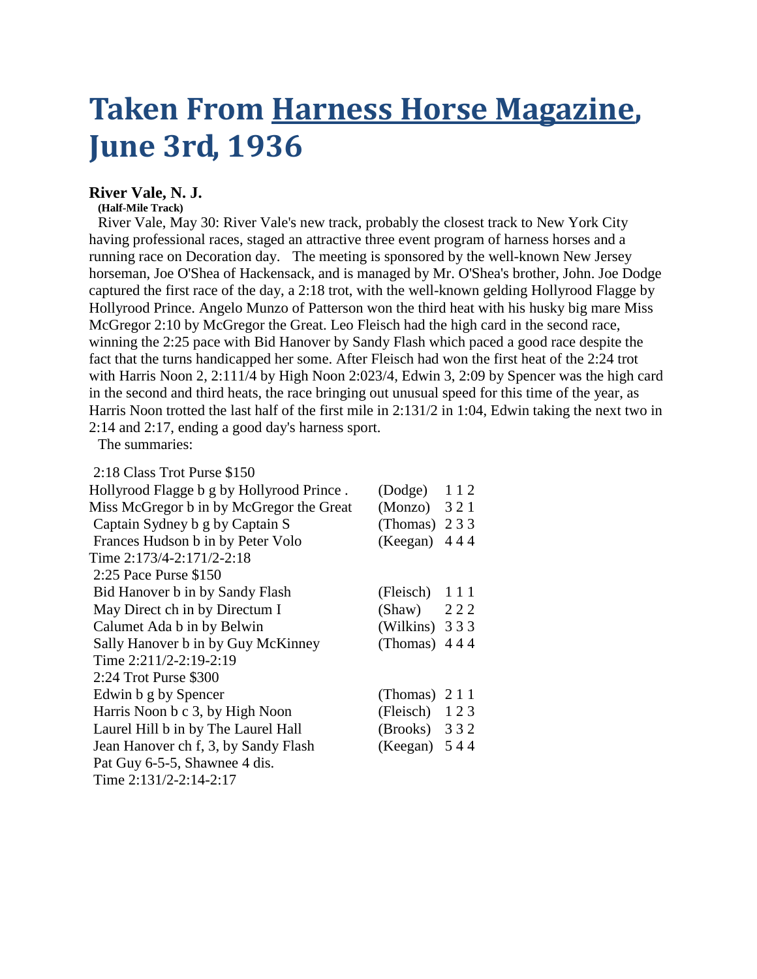## **Taken From Harness Horse Magazine, June 3rd, 1936**

## **River Vale, N. J.**

**(Half-Mile Track)**

River Vale, May 30: River Vale's new track, probably the closest track to New York City having professional races, staged an attractive three event program of harness horses and a running race on Decoration day. The meeting is sponsored by the well-known New Jersey horseman, Joe O'Shea of Hackensack, and is managed by Mr. O'Shea's brother, John. Joe Dodge captured the first race of the day, a 2:18 trot, with the well-known gelding Hollyrood Flagge by Hollyrood Prince. Angelo Munzo of Patterson won the third heat with his husky big mare Miss McGregor 2:10 by McGregor the Great. Leo Fleisch had the high card in the second race, winning the 2:25 pace with Bid Hanover by Sandy Flash which paced a good race despite the fact that the turns handicapped her some. After Fleisch had won the first heat of the 2:24 trot with Harris Noon 2, 2:111/4 by High Noon 2:023/4, Edwin 3, 2:09 by Spencer was the high card in the second and third heats, the race bringing out unusual speed for this time of the year, as Harris Noon trotted the last half of the first mile in 2:131/2 in 1:04, Edwin taking the next two in 2:14 and 2:17, ending a good day's harness sport.

The summaries:

| Hollyrood Flagge b g by Hollyrood Prince. | (Dodge)        | 112 |
|-------------------------------------------|----------------|-----|
| Miss McGregor b in by McGregor the Great  | $(Monzo)$ 321  |     |
| Captain Sydney b g by Captain S           | (Thomas)       | 233 |
| Frances Hudson b in by Peter Volo         | (Keegan)       | 444 |
| Time 2:173/4-2:171/2-2:18                 |                |     |
| 2:25 Pace Purse \$150                     |                |     |
| Bid Hanover b in by Sandy Flash           | (Fleisch) 111  |     |
| May Direct ch in by Directum I            | (Shaw)         | 222 |
| Calumet Ada b in by Belwin                | (Wilkins) 333  |     |
| Sally Hanover b in by Guy McKinney        | (Thomas) $444$ |     |
| Time 2:211/2-2:19-2:19                    |                |     |
| 2:24 Trot Purse \$300                     |                |     |
| Edwin b g by Spencer                      | (Thomas) $211$ |     |
| Harris Noon b c 3, by High Noon           | (Fleisch) 123  |     |
| Laurel Hill b in by The Laurel Hall       | $(Brooks)$ 332 |     |
| Jean Hanover ch f, 3, by Sandy Flash      | (Keegan) $544$ |     |
| Pat Guy 6-5-5, Shawnee 4 dis.             |                |     |
| Time 2:131/2-2:14-2:17                    |                |     |